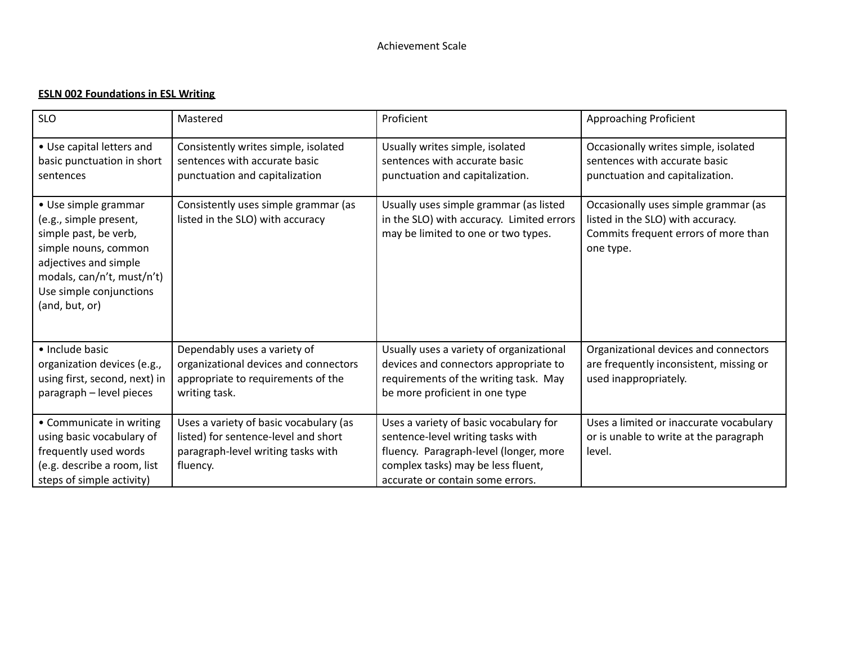## **ESLN 002 Foundations in ESL Writing**

| <b>SLO</b>                                                                                                                                                                                          | Mastered                                                                                                                         | Proficient                                                                                                                                                                                      | Approaching Proficient                                                                                                         |
|-----------------------------------------------------------------------------------------------------------------------------------------------------------------------------------------------------|----------------------------------------------------------------------------------------------------------------------------------|-------------------------------------------------------------------------------------------------------------------------------------------------------------------------------------------------|--------------------------------------------------------------------------------------------------------------------------------|
| • Use capital letters and<br>basic punctuation in short<br>sentences                                                                                                                                | Consistently writes simple, isolated<br>sentences with accurate basic<br>punctuation and capitalization                          | Usually writes simple, isolated<br>sentences with accurate basic<br>punctuation and capitalization.                                                                                             | Occasionally writes simple, isolated<br>sentences with accurate basic<br>punctuation and capitalization.                       |
| • Use simple grammar<br>(e.g., simple present,<br>simple past, be verb,<br>simple nouns, common<br>adjectives and simple<br>modals, can/n't, must/n't)<br>Use simple conjunctions<br>(and, but, or) | Consistently uses simple grammar (as<br>listed in the SLO) with accuracy                                                         | Usually uses simple grammar (as listed<br>in the SLO) with accuracy. Limited errors<br>may be limited to one or two types.                                                                      | Occasionally uses simple grammar (as<br>listed in the SLO) with accuracy.<br>Commits frequent errors of more than<br>one type. |
| • Include basic<br>organization devices (e.g.,<br>using first, second, next) in<br>paragraph - level pieces                                                                                         | Dependably uses a variety of<br>organizational devices and connectors<br>appropriate to requirements of the<br>writing task.     | Usually uses a variety of organizational<br>devices and connectors appropriate to<br>requirements of the writing task. May<br>be more proficient in one type                                    | Organizational devices and connectors<br>are frequently inconsistent, missing or<br>used inappropriately.                      |
| • Communicate in writing<br>using basic vocabulary of<br>frequently used words<br>(e.g. describe a room, list<br>steps of simple activity)                                                          | Uses a variety of basic vocabulary (as<br>listed) for sentence-level and short<br>paragraph-level writing tasks with<br>fluency. | Uses a variety of basic vocabulary for<br>sentence-level writing tasks with<br>fluency. Paragraph-level (longer, more<br>complex tasks) may be less fluent,<br>accurate or contain some errors. | Uses a limited or inaccurate vocabulary<br>or is unable to write at the paragraph<br>level.                                    |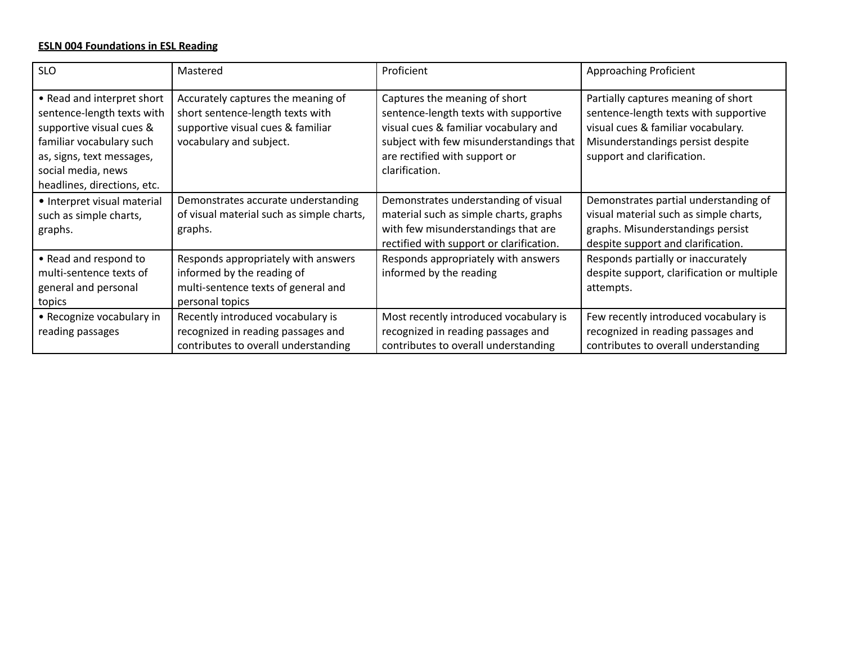## **ESLN 004 Foundations in ESL Reading**

| <b>SLO</b>                                                                                                                                                                                         | Mastered                                                                                                                               | Proficient                                                                                                                                                                                                    | Approaching Proficient                                                                                                                                                                |
|----------------------------------------------------------------------------------------------------------------------------------------------------------------------------------------------------|----------------------------------------------------------------------------------------------------------------------------------------|---------------------------------------------------------------------------------------------------------------------------------------------------------------------------------------------------------------|---------------------------------------------------------------------------------------------------------------------------------------------------------------------------------------|
| • Read and interpret short<br>sentence-length texts with<br>supportive visual cues &<br>familiar vocabulary such<br>as, signs, text messages,<br>social media, news<br>headlines, directions, etc. | Accurately captures the meaning of<br>short sentence-length texts with<br>supportive visual cues & familiar<br>vocabulary and subject. | Captures the meaning of short<br>sentence-length texts with supportive<br>visual cues & familiar vocabulary and<br>subject with few misunderstandings that<br>are rectified with support or<br>clarification. | Partially captures meaning of short<br>sentence-length texts with supportive<br>visual cues & familiar vocabulary.<br>Misunderstandings persist despite<br>support and clarification. |
| • Interpret visual material<br>such as simple charts,<br>graphs.                                                                                                                                   | Demonstrates accurate understanding<br>of visual material such as simple charts,<br>graphs.                                            | Demonstrates understanding of visual<br>material such as simple charts, graphs<br>with few misunderstandings that are<br>rectified with support or clarification.                                             | Demonstrates partial understanding of<br>visual material such as simple charts,<br>graphs. Misunderstandings persist<br>despite support and clarification.                            |
| • Read and respond to<br>multi-sentence texts of<br>general and personal<br>topics                                                                                                                 | Responds appropriately with answers<br>informed by the reading of<br>multi-sentence texts of general and<br>personal topics            | Responds appropriately with answers<br>informed by the reading                                                                                                                                                | Responds partially or inaccurately<br>despite support, clarification or multiple<br>attempts.                                                                                         |
| • Recognize vocabulary in<br>reading passages                                                                                                                                                      | Recently introduced vocabulary is<br>recognized in reading passages and<br>contributes to overall understanding                        | Most recently introduced vocabulary is<br>recognized in reading passages and<br>contributes to overall understanding                                                                                          | Few recently introduced vocabulary is<br>recognized in reading passages and<br>contributes to overall understanding                                                                   |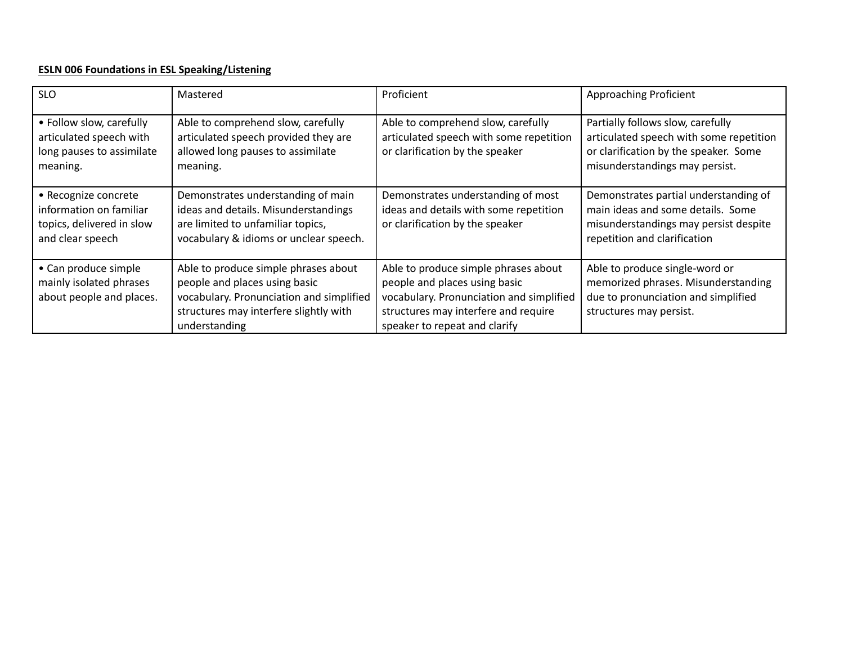## **ESLN 006 Foundations in ESL Speaking/Listening**

| <b>SLO</b>                                                                                       | Mastered                                                                                                                                                                     | Proficient                                                                                                                                                                                 | <b>Approaching Proficient</b>                                                                                                                           |
|--------------------------------------------------------------------------------------------------|------------------------------------------------------------------------------------------------------------------------------------------------------------------------------|--------------------------------------------------------------------------------------------------------------------------------------------------------------------------------------------|---------------------------------------------------------------------------------------------------------------------------------------------------------|
| • Follow slow, carefully<br>articulated speech with<br>long pauses to assimilate<br>meaning.     | Able to comprehend slow, carefully<br>articulated speech provided they are<br>allowed long pauses to assimilate<br>meaning.                                                  | Able to comprehend slow, carefully<br>articulated speech with some repetition<br>or clarification by the speaker                                                                           | Partially follows slow, carefully<br>articulated speech with some repetition<br>or clarification by the speaker. Some<br>misunderstandings may persist. |
| · Recognize concrete<br>information on familiar<br>topics, delivered in slow<br>and clear speech | Demonstrates understanding of main<br>ideas and details. Misunderstandings<br>are limited to unfamiliar topics,<br>vocabulary & idioms or unclear speech.                    | Demonstrates understanding of most<br>ideas and details with some repetition<br>or clarification by the speaker                                                                            | Demonstrates partial understanding of<br>main ideas and some details. Some<br>misunderstandings may persist despite<br>repetition and clarification     |
| • Can produce simple<br>mainly isolated phrases<br>about people and places.                      | Able to produce simple phrases about<br>people and places using basic<br>vocabulary. Pronunciation and simplified<br>structures may interfere slightly with<br>understanding | Able to produce simple phrases about<br>people and places using basic<br>vocabulary. Pronunciation and simplified<br>structures may interfere and require<br>speaker to repeat and clarify | Able to produce single-word or<br>memorized phrases. Misunderstanding<br>due to pronunciation and simplified<br>structures may persist.                 |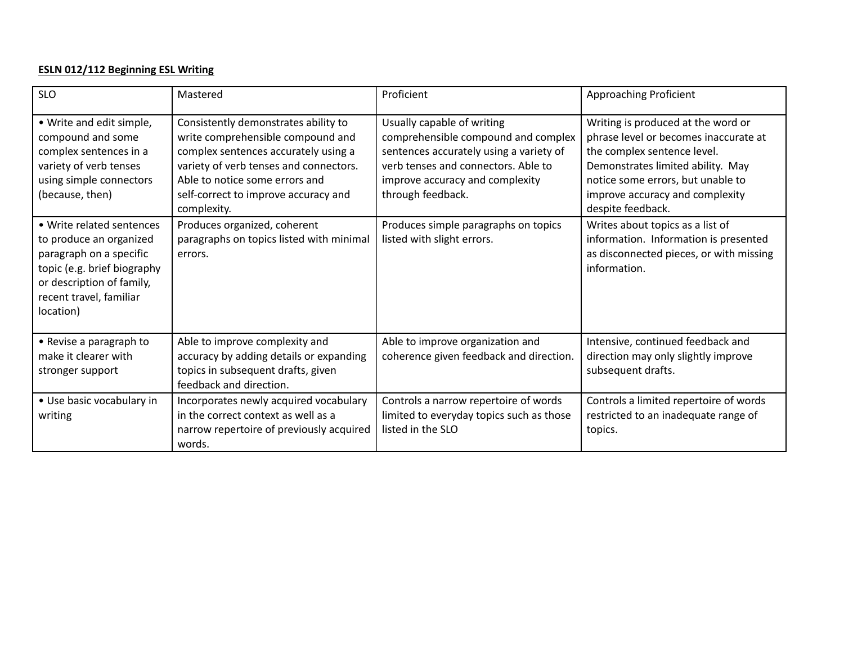# **ESLN 012/112 Beginning ESL Writing**

| <b>SLO</b>                                                                                                                                                                          | Mastered                                                                                                                                                                                                                                             | Proficient                                                                                                                                                                                                  | Approaching Proficient                                                                                                                                                                                                                       |
|-------------------------------------------------------------------------------------------------------------------------------------------------------------------------------------|------------------------------------------------------------------------------------------------------------------------------------------------------------------------------------------------------------------------------------------------------|-------------------------------------------------------------------------------------------------------------------------------------------------------------------------------------------------------------|----------------------------------------------------------------------------------------------------------------------------------------------------------------------------------------------------------------------------------------------|
| • Write and edit simple,<br>compound and some<br>complex sentences in a<br>variety of verb tenses<br>using simple connectors<br>(because, then)                                     | Consistently demonstrates ability to<br>write comprehensible compound and<br>complex sentences accurately using a<br>variety of verb tenses and connectors.<br>Able to notice some errors and<br>self-correct to improve accuracy and<br>complexity. | Usually capable of writing<br>comprehensible compound and complex<br>sentences accurately using a variety of<br>verb tenses and connectors. Able to<br>improve accuracy and complexity<br>through feedback. | Writing is produced at the word or<br>phrase level or becomes inaccurate at<br>the complex sentence level.<br>Demonstrates limited ability. May<br>notice some errors, but unable to<br>improve accuracy and complexity<br>despite feedback. |
| • Write related sentences<br>to produce an organized<br>paragraph on a specific<br>topic (e.g. brief biography<br>or description of family,<br>recent travel, familiar<br>location) | Produces organized, coherent<br>paragraphs on topics listed with minimal<br>errors.                                                                                                                                                                  | Produces simple paragraphs on topics<br>listed with slight errors.                                                                                                                                          | Writes about topics as a list of<br>information. Information is presented<br>as disconnected pieces, or with missing<br>information.                                                                                                         |
| • Revise a paragraph to<br>make it clearer with<br>stronger support                                                                                                                 | Able to improve complexity and<br>accuracy by adding details or expanding<br>topics in subsequent drafts, given<br>feedback and direction.                                                                                                           | Able to improve organization and<br>coherence given feedback and direction.                                                                                                                                 | Intensive, continued feedback and<br>direction may only slightly improve<br>subsequent drafts.                                                                                                                                               |
| • Use basic vocabulary in<br>writing                                                                                                                                                | Incorporates newly acquired vocabulary<br>in the correct context as well as a<br>narrow repertoire of previously acquired<br>words.                                                                                                                  | Controls a narrow repertoire of words<br>limited to everyday topics such as those<br>listed in the SLO                                                                                                      | Controls a limited repertoire of words<br>restricted to an inadequate range of<br>topics.                                                                                                                                                    |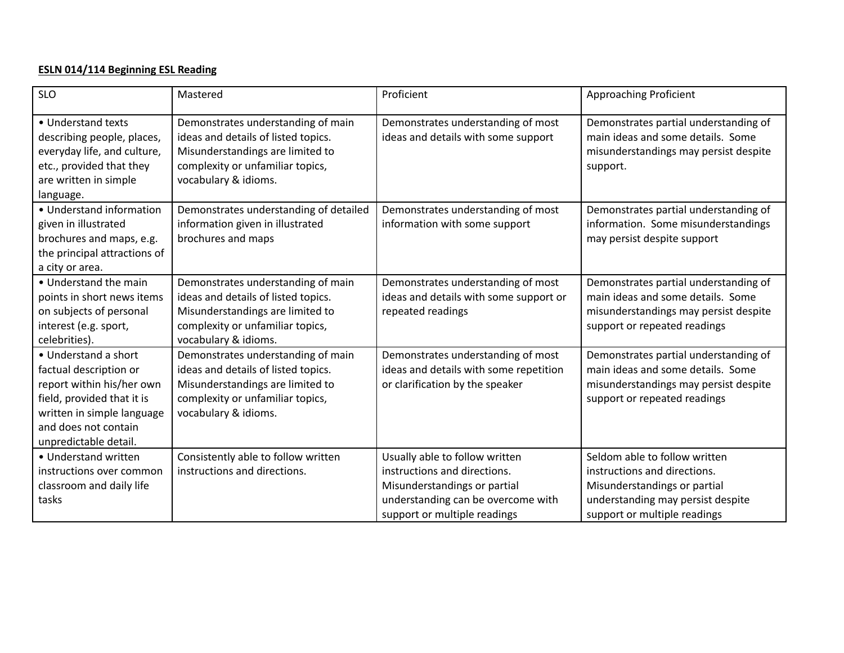# **ESLN 014/114 Beginning ESL Reading**

| <b>SLO</b>                                                                                                                                                                               | Mastered                                                                                                                                                                  | Proficient                                                                                                                                                           | Approaching Proficient                                                                                                                                             |
|------------------------------------------------------------------------------------------------------------------------------------------------------------------------------------------|---------------------------------------------------------------------------------------------------------------------------------------------------------------------------|----------------------------------------------------------------------------------------------------------------------------------------------------------------------|--------------------------------------------------------------------------------------------------------------------------------------------------------------------|
| • Understand texts<br>describing people, places,<br>everyday life, and culture,<br>etc., provided that they<br>are written in simple<br>language.                                        | Demonstrates understanding of main<br>ideas and details of listed topics.<br>Misunderstandings are limited to<br>complexity or unfamiliar topics,<br>vocabulary & idioms. | Demonstrates understanding of most<br>ideas and details with some support                                                                                            | Demonstrates partial understanding of<br>main ideas and some details. Some<br>misunderstandings may persist despite<br>support.                                    |
| • Understand information<br>given in illustrated<br>brochures and maps, e.g.<br>the principal attractions of<br>a city or area.                                                          | Demonstrates understanding of detailed<br>information given in illustrated<br>brochures and maps                                                                          | Demonstrates understanding of most<br>information with some support                                                                                                  | Demonstrates partial understanding of<br>information. Some misunderstandings<br>may persist despite support                                                        |
| • Understand the main<br>points in short news items<br>on subjects of personal<br>interest (e.g. sport,<br>celebrities).                                                                 | Demonstrates understanding of main<br>ideas and details of listed topics.<br>Misunderstandings are limited to<br>complexity or unfamiliar topics,<br>vocabulary & idioms. | Demonstrates understanding of most<br>ideas and details with some support or<br>repeated readings                                                                    | Demonstrates partial understanding of<br>main ideas and some details. Some<br>misunderstandings may persist despite<br>support or repeated readings                |
| • Understand a short<br>factual description or<br>report within his/her own<br>field, provided that it is<br>written in simple language<br>and does not contain<br>unpredictable detail. | Demonstrates understanding of main<br>ideas and details of listed topics.<br>Misunderstandings are limited to<br>complexity or unfamiliar topics,<br>vocabulary & idioms. | Demonstrates understanding of most<br>ideas and details with some repetition<br>or clarification by the speaker                                                      | Demonstrates partial understanding of<br>main ideas and some details. Some<br>misunderstandings may persist despite<br>support or repeated readings                |
| • Understand written<br>instructions over common<br>classroom and daily life<br>tasks                                                                                                    | Consistently able to follow written<br>instructions and directions.                                                                                                       | Usually able to follow written<br>instructions and directions.<br>Misunderstandings or partial<br>understanding can be overcome with<br>support or multiple readings | Seldom able to follow written<br>instructions and directions.<br>Misunderstandings or partial<br>understanding may persist despite<br>support or multiple readings |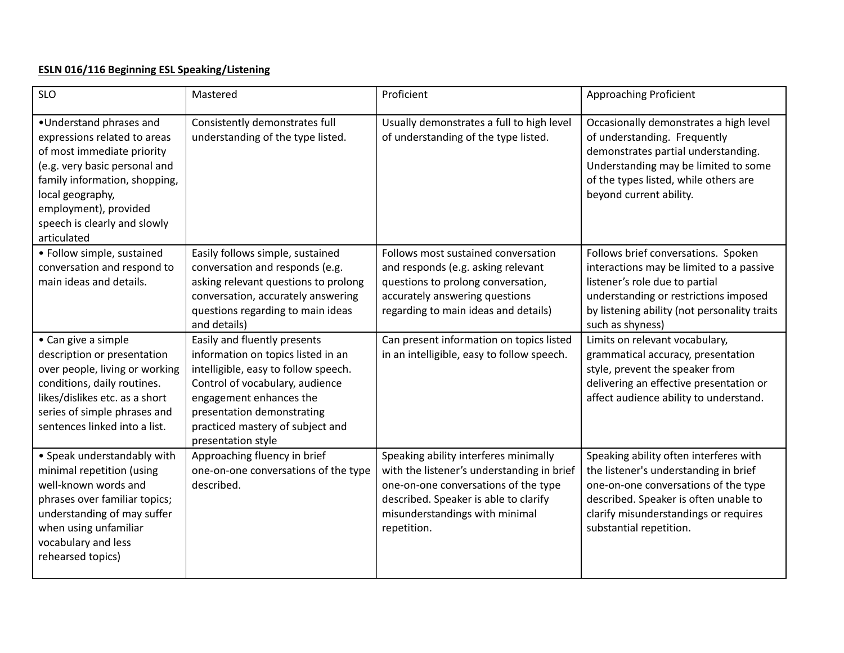# **ESLN 016/116 Beginning ESL Speaking/Listening**

| <b>SLO</b>                                                                                                                                                                                                                                          | Mastered                                                                                                                                                                                                                                                         | Proficient                                                                                                                                                                                                            | <b>Approaching Proficient</b>                                                                                                                                                                                                        |
|-----------------------------------------------------------------------------------------------------------------------------------------------------------------------------------------------------------------------------------------------------|------------------------------------------------------------------------------------------------------------------------------------------------------------------------------------------------------------------------------------------------------------------|-----------------------------------------------------------------------------------------------------------------------------------------------------------------------------------------------------------------------|--------------------------------------------------------------------------------------------------------------------------------------------------------------------------------------------------------------------------------------|
| •Understand phrases and<br>expressions related to areas<br>of most immediate priority<br>(e.g. very basic personal and<br>family information, shopping,<br>local geography,<br>employment), provided<br>speech is clearly and slowly<br>articulated | Consistently demonstrates full<br>understanding of the type listed.                                                                                                                                                                                              | Usually demonstrates a full to high level<br>of understanding of the type listed.                                                                                                                                     | Occasionally demonstrates a high level<br>of understanding. Frequently<br>demonstrates partial understanding.<br>Understanding may be limited to some<br>of the types listed, while others are<br>beyond current ability.            |
| • Follow simple, sustained<br>conversation and respond to<br>main ideas and details.                                                                                                                                                                | Easily follows simple, sustained<br>conversation and responds (e.g.<br>asking relevant questions to prolong<br>conversation, accurately answering<br>questions regarding to main ideas<br>and details)                                                           | Follows most sustained conversation<br>and responds (e.g. asking relevant<br>questions to prolong conversation,<br>accurately answering questions<br>regarding to main ideas and details)                             | Follows brief conversations. Spoken<br>interactions may be limited to a passive<br>listener's role due to partial<br>understanding or restrictions imposed<br>by listening ability (not personality traits<br>such as shyness)       |
| • Can give a simple<br>description or presentation<br>over people, living or working<br>conditions, daily routines.<br>likes/dislikes etc. as a short<br>series of simple phrases and<br>sentences linked into a list.                              | Easily and fluently presents<br>information on topics listed in an<br>intelligible, easy to follow speech.<br>Control of vocabulary, audience<br>engagement enhances the<br>presentation demonstrating<br>practiced mastery of subject and<br>presentation style | Can present information on topics listed<br>in an intelligible, easy to follow speech.                                                                                                                                | Limits on relevant vocabulary,<br>grammatical accuracy, presentation<br>style, prevent the speaker from<br>delivering an effective presentation or<br>affect audience ability to understand.                                         |
| • Speak understandably with<br>minimal repetition (using<br>well-known words and<br>phrases over familiar topics;<br>understanding of may suffer<br>when using unfamiliar<br>vocabulary and less<br>rehearsed topics)                               | Approaching fluency in brief<br>one-on-one conversations of the type<br>described.                                                                                                                                                                               | Speaking ability interferes minimally<br>with the listener's understanding in brief<br>one-on-one conversations of the type<br>described. Speaker is able to clarify<br>misunderstandings with minimal<br>repetition. | Speaking ability often interferes with<br>the listener's understanding in brief<br>one-on-one conversations of the type<br>described. Speaker is often unable to<br>clarify misunderstandings or requires<br>substantial repetition. |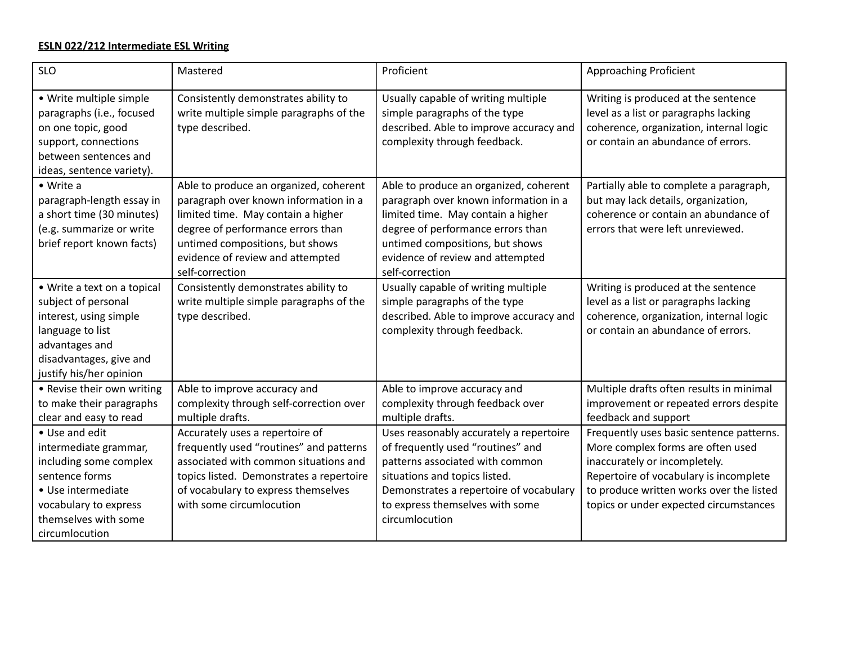#### **ESLN 022/212 Intermediate ESL Writing**

| <b>SLO</b>                                                                                                                                                               | Mastered                                                                                                                                                                                                                                                       | Proficient                                                                                                                                                                                                                                           | <b>Approaching Proficient</b>                                                                                                                                                                                                                                          |
|--------------------------------------------------------------------------------------------------------------------------------------------------------------------------|----------------------------------------------------------------------------------------------------------------------------------------------------------------------------------------------------------------------------------------------------------------|------------------------------------------------------------------------------------------------------------------------------------------------------------------------------------------------------------------------------------------------------|------------------------------------------------------------------------------------------------------------------------------------------------------------------------------------------------------------------------------------------------------------------------|
| • Write multiple simple<br>paragraphs (i.e., focused<br>on one topic, good<br>support, connections<br>between sentences and<br>ideas, sentence variety).                 | Consistently demonstrates ability to<br>write multiple simple paragraphs of the<br>type described.                                                                                                                                                             | Usually capable of writing multiple<br>simple paragraphs of the type<br>described. Able to improve accuracy and<br>complexity through feedback.                                                                                                      | Writing is produced at the sentence<br>level as a list or paragraphs lacking<br>coherence, organization, internal logic<br>or contain an abundance of errors.                                                                                                          |
| • Write a<br>paragraph-length essay in<br>a short time (30 minutes)<br>(e.g. summarize or write<br>brief report known facts)                                             | Able to produce an organized, coherent<br>paragraph over known information in a<br>limited time. May contain a higher<br>degree of performance errors than<br>untimed compositions, but shows<br>evidence of review and attempted<br>self-correction           | Able to produce an organized, coherent<br>paragraph over known information in a<br>limited time. May contain a higher<br>degree of performance errors than<br>untimed compositions, but shows<br>evidence of review and attempted<br>self-correction | Partially able to complete a paragraph,<br>but may lack details, organization,<br>coherence or contain an abundance of<br>errors that were left unreviewed.                                                                                                            |
| • Write a text on a topical<br>subject of personal<br>interest, using simple<br>language to list<br>advantages and<br>disadvantages, give and<br>justify his/her opinion | Consistently demonstrates ability to<br>write multiple simple paragraphs of the<br>type described.                                                                                                                                                             | Usually capable of writing multiple<br>simple paragraphs of the type<br>described. Able to improve accuracy and<br>complexity through feedback.                                                                                                      | Writing is produced at the sentence<br>level as a list or paragraphs lacking<br>coherence, organization, internal logic<br>or contain an abundance of errors.                                                                                                          |
| • Revise their own writing<br>to make their paragraphs<br>clear and easy to read<br>• Use and edit<br>intermediate grammar,<br>including some complex<br>sentence forms  | Able to improve accuracy and<br>complexity through self-correction over<br>multiple drafts.<br>Accurately uses a repertoire of<br>frequently used "routines" and patterns<br>associated with common situations and<br>topics listed. Demonstrates a repertoire | Able to improve accuracy and<br>complexity through feedback over<br>multiple drafts.<br>Uses reasonably accurately a repertoire<br>of frequently used "routines" and<br>patterns associated with common<br>situations and topics listed.             | Multiple drafts often results in minimal<br>improvement or repeated errors despite<br>feedback and support<br>Frequently uses basic sentence patterns.<br>More complex forms are often used<br>inaccurately or incompletely.<br>Repertoire of vocabulary is incomplete |
| • Use intermediate<br>vocabulary to express<br>themselves with some<br>circumlocution                                                                                    | of vocabulary to express themselves<br>with some circumlocution                                                                                                                                                                                                | Demonstrates a repertoire of vocabulary<br>to express themselves with some<br>circumlocution                                                                                                                                                         | to produce written works over the listed<br>topics or under expected circumstances                                                                                                                                                                                     |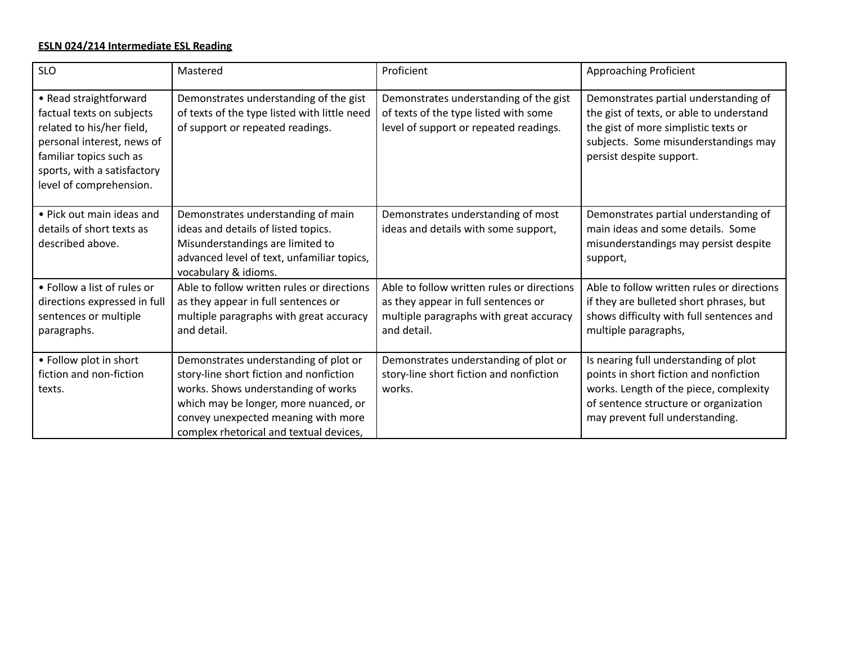#### **ESLN 024/214 Intermediate ESL Reading**

| <b>SLO</b>                                                                                                                                                                                          | Mastered                                                                                                                                                                                                                                           | Proficient                                                                                                                                  | Approaching Proficient                                                                                                                                                                                |
|-----------------------------------------------------------------------------------------------------------------------------------------------------------------------------------------------------|----------------------------------------------------------------------------------------------------------------------------------------------------------------------------------------------------------------------------------------------------|---------------------------------------------------------------------------------------------------------------------------------------------|-------------------------------------------------------------------------------------------------------------------------------------------------------------------------------------------------------|
| • Read straightforward<br>factual texts on subjects<br>related to his/her field,<br>personal interest, news of<br>familiar topics such as<br>sports, with a satisfactory<br>level of comprehension. | Demonstrates understanding of the gist<br>of texts of the type listed with little need<br>of support or repeated readings.                                                                                                                         | Demonstrates understanding of the gist<br>of texts of the type listed with some<br>level of support or repeated readings.                   | Demonstrates partial understanding of<br>the gist of texts, or able to understand<br>the gist of more simplistic texts or<br>subjects. Some misunderstandings may<br>persist despite support.         |
| • Pick out main ideas and<br>details of short texts as<br>described above.                                                                                                                          | Demonstrates understanding of main<br>ideas and details of listed topics.<br>Misunderstandings are limited to<br>advanced level of text, unfamiliar topics,<br>vocabulary & idioms.                                                                | Demonstrates understanding of most<br>ideas and details with some support,                                                                  | Demonstrates partial understanding of<br>main ideas and some details. Some<br>misunderstandings may persist despite<br>support,                                                                       |
| • Follow a list of rules or<br>directions expressed in full<br>sentences or multiple<br>paragraphs.                                                                                                 | Able to follow written rules or directions<br>as they appear in full sentences or<br>multiple paragraphs with great accuracy<br>and detail.                                                                                                        | Able to follow written rules or directions<br>as they appear in full sentences or<br>multiple paragraphs with great accuracy<br>and detail. | Able to follow written rules or directions<br>if they are bulleted short phrases, but<br>shows difficulty with full sentences and<br>multiple paragraphs,                                             |
| • Follow plot in short<br>fiction and non-fiction<br>texts.                                                                                                                                         | Demonstrates understanding of plot or<br>story-line short fiction and nonfiction<br>works. Shows understanding of works<br>which may be longer, more nuanced, or<br>convey unexpected meaning with more<br>complex rhetorical and textual devices, | Demonstrates understanding of plot or<br>story-line short fiction and nonfiction<br>works.                                                  | Is nearing full understanding of plot<br>points in short fiction and nonfiction<br>works. Length of the piece, complexity<br>of sentence structure or organization<br>may prevent full understanding. |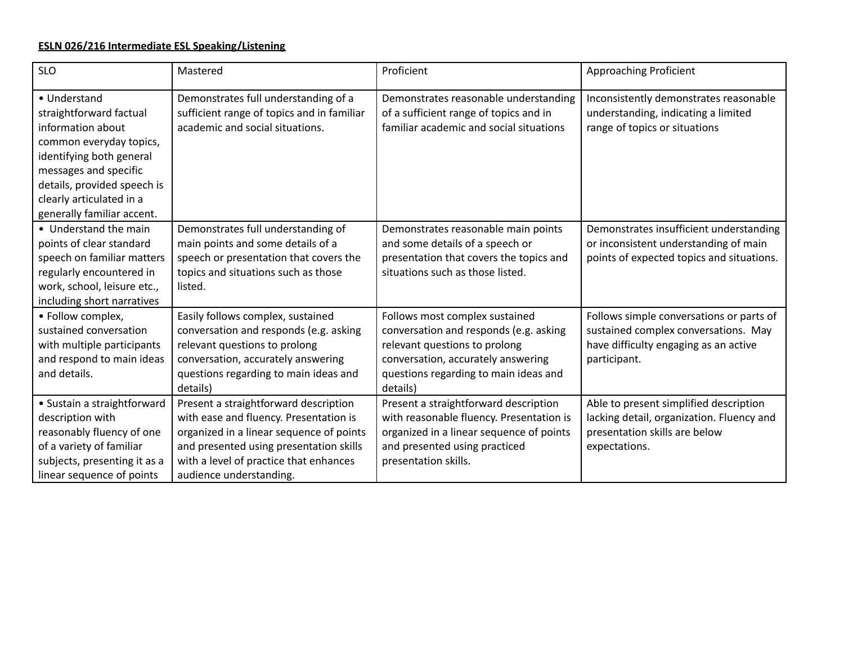# **ESLN 026/216 Intermediate ESL Speaking/Listening**

| <b>SLO</b>                                                                                                                                                                                                                            | Mastered                                                                                                                                                                                                                                    | Proficient                                                                                                                                                                                           | <b>Approaching Proficient</b>                                                                                                             |
|---------------------------------------------------------------------------------------------------------------------------------------------------------------------------------------------------------------------------------------|---------------------------------------------------------------------------------------------------------------------------------------------------------------------------------------------------------------------------------------------|------------------------------------------------------------------------------------------------------------------------------------------------------------------------------------------------------|-------------------------------------------------------------------------------------------------------------------------------------------|
| • Understand<br>straightforward factual<br>information about<br>common everyday topics,<br>identifying both general<br>messages and specific<br>details, provided speech is<br>clearly articulated in a<br>generally familiar accent. | Demonstrates full understanding of a<br>sufficient range of topics and in familiar<br>academic and social situations.                                                                                                                       | Demonstrates reasonable understanding<br>of a sufficient range of topics and in<br>familiar academic and social situations                                                                           | Inconsistently demonstrates reasonable<br>understanding, indicating a limited<br>range of topics or situations                            |
| • Understand the main<br>points of clear standard<br>speech on familiar matters<br>regularly encountered in<br>work, school, leisure etc.,<br>including short narratives                                                              | Demonstrates full understanding of<br>main points and some details of a<br>speech or presentation that covers the<br>topics and situations such as those<br>listed.                                                                         | Demonstrates reasonable main points<br>and some details of a speech or<br>presentation that covers the topics and<br>situations such as those listed.                                                | Demonstrates insufficient understanding<br>or inconsistent understanding of main<br>points of expected topics and situations.             |
| • Follow complex,<br>sustained conversation<br>with multiple participants<br>and respond to main ideas<br>and details.                                                                                                                | Easily follows complex, sustained<br>conversation and responds (e.g. asking<br>relevant questions to prolong<br>conversation, accurately answering<br>questions regarding to main ideas and<br>details)                                     | Follows most complex sustained<br>conversation and responds (e.g. asking<br>relevant questions to prolong<br>conversation, accurately answering<br>questions regarding to main ideas and<br>details) | Follows simple conversations or parts of<br>sustained complex conversations. May<br>have difficulty engaging as an active<br>participant. |
| • Sustain a straightforward<br>description with<br>reasonably fluency of one<br>of a variety of familiar<br>subjects, presenting it as a<br>linear sequence of points                                                                 | Present a straightforward description<br>with ease and fluency. Presentation is<br>organized in a linear sequence of points<br>and presented using presentation skills<br>with a level of practice that enhances<br>audience understanding. | Present a straightforward description<br>with reasonable fluency. Presentation is<br>organized in a linear sequence of points<br>and presented using practiced<br>presentation skills.               | Able to present simplified description<br>lacking detail, organization. Fluency and<br>presentation skills are below<br>expectations.     |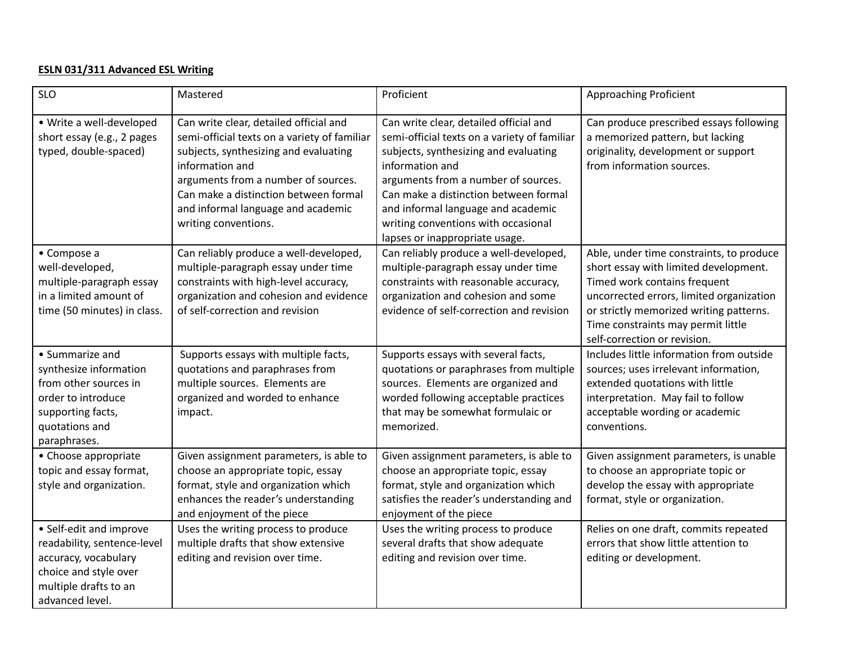## **ESLN 031/311 Advanced ESL Writing**

| <b>SLO</b>                                                                                                                                          | Mastered                                                                                                                                                                                                                                                                                         | Proficient                                                                                                                                                                                                                                                                                                                                        | Approaching Proficient                                                                                                                                                                                                                                                         |
|-----------------------------------------------------------------------------------------------------------------------------------------------------|--------------------------------------------------------------------------------------------------------------------------------------------------------------------------------------------------------------------------------------------------------------------------------------------------|---------------------------------------------------------------------------------------------------------------------------------------------------------------------------------------------------------------------------------------------------------------------------------------------------------------------------------------------------|--------------------------------------------------------------------------------------------------------------------------------------------------------------------------------------------------------------------------------------------------------------------------------|
| · Write a well-developed<br>short essay (e.g., 2 pages<br>typed, double-spaced)                                                                     | Can write clear, detailed official and<br>semi-official texts on a variety of familiar<br>subjects, synthesizing and evaluating<br>information and<br>arguments from a number of sources.<br>Can make a distinction between formal<br>and informal language and academic<br>writing conventions. | Can write clear, detailed official and<br>semi-official texts on a variety of familiar<br>subjects, synthesizing and evaluating<br>information and<br>arguments from a number of sources.<br>Can make a distinction between formal<br>and informal language and academic<br>writing conventions with occasional<br>lapses or inappropriate usage. | Can produce prescribed essays following<br>a memorized pattern, but lacking<br>originality, development or support<br>from information sources.                                                                                                                                |
| • Compose a<br>well-developed,<br>multiple-paragraph essay<br>in a limited amount of<br>time (50 minutes) in class.                                 | Can reliably produce a well-developed,<br>multiple-paragraph essay under time<br>constraints with high-level accuracy,<br>organization and cohesion and evidence<br>of self-correction and revision                                                                                              | Can reliably produce a well-developed,<br>multiple-paragraph essay under time<br>constraints with reasonable accuracy,<br>organization and cohesion and some<br>evidence of self-correction and revision                                                                                                                                          | Able, under time constraints, to produce<br>short essay with limited development.<br>Timed work contains frequent<br>uncorrected errors, limited organization<br>or strictly memorized writing patterns.<br>Time constraints may permit little<br>self-correction or revision. |
| • Summarize and<br>synthesize information<br>from other sources in<br>order to introduce<br>supporting facts,<br>quotations and<br>paraphrases.     | Supports essays with multiple facts,<br>quotations and paraphrases from<br>multiple sources. Elements are<br>organized and worded to enhance<br>impact.                                                                                                                                          | Supports essays with several facts,<br>quotations or paraphrases from multiple<br>sources. Elements are organized and<br>worded following acceptable practices<br>that may be somewhat formulaic or<br>memorized.                                                                                                                                 | Includes little information from outside<br>sources; uses irrelevant information,<br>extended quotations with little<br>interpretation. May fail to follow<br>acceptable wording or academic<br>conventions.                                                                   |
| • Choose appropriate<br>topic and essay format,<br>style and organization.                                                                          | Given assignment parameters, is able to<br>choose an appropriate topic, essay<br>format, style and organization which<br>enhances the reader's understanding<br>and enjoyment of the piece                                                                                                       | Given assignment parameters, is able to<br>choose an appropriate topic, essay<br>format, style and organization which<br>satisfies the reader's understanding and<br>enjoyment of the piece                                                                                                                                                       | Given assignment parameters, is unable<br>to choose an appropriate topic or<br>develop the essay with appropriate<br>format, style or organization.                                                                                                                            |
| • Self-edit and improve<br>readability, sentence-level<br>accuracy, vocabulary<br>choice and style over<br>multiple drafts to an<br>advanced level. | Uses the writing process to produce<br>multiple drafts that show extensive<br>editing and revision over time.                                                                                                                                                                                    | Uses the writing process to produce<br>several drafts that show adequate<br>editing and revision over time.                                                                                                                                                                                                                                       | Relies on one draft, commits repeated<br>errors that show little attention to<br>editing or development.                                                                                                                                                                       |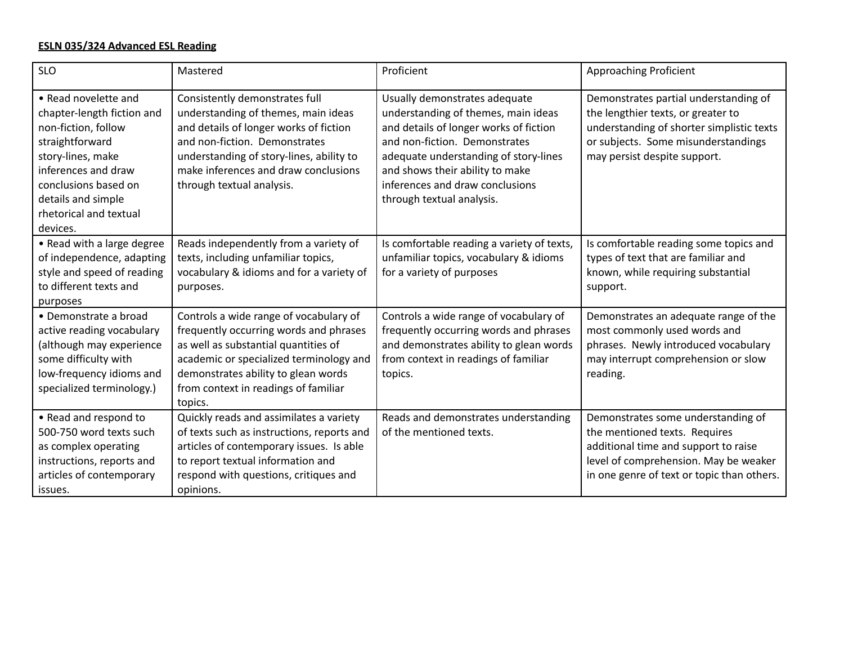#### **ESLN 035/324 Advanced ESL Reading**

| <b>SLO</b>                                                                                                                                                                                                                   | Mastered                                                                                                                                                                                                                                                          | Proficient                                                                                                                                                                                                                                                                                  | <b>Approaching Proficient</b>                                                                                                                                                                      |
|------------------------------------------------------------------------------------------------------------------------------------------------------------------------------------------------------------------------------|-------------------------------------------------------------------------------------------------------------------------------------------------------------------------------------------------------------------------------------------------------------------|---------------------------------------------------------------------------------------------------------------------------------------------------------------------------------------------------------------------------------------------------------------------------------------------|----------------------------------------------------------------------------------------------------------------------------------------------------------------------------------------------------|
| • Read novelette and<br>chapter-length fiction and<br>non-fiction, follow<br>straightforward<br>story-lines, make<br>inferences and draw<br>conclusions based on<br>details and simple<br>rhetorical and textual<br>devices. | Consistently demonstrates full<br>understanding of themes, main ideas<br>and details of longer works of fiction<br>and non-fiction. Demonstrates<br>understanding of story-lines, ability to<br>make inferences and draw conclusions<br>through textual analysis. | Usually demonstrates adequate<br>understanding of themes, main ideas<br>and details of longer works of fiction<br>and non-fiction. Demonstrates<br>adequate understanding of story-lines<br>and shows their ability to make<br>inferences and draw conclusions<br>through textual analysis. | Demonstrates partial understanding of<br>the lengthier texts, or greater to<br>understanding of shorter simplistic texts<br>or subjects. Some misunderstandings<br>may persist despite support.    |
| • Read with a large degree<br>of independence, adapting<br>style and speed of reading<br>to different texts and<br>purposes                                                                                                  | Reads independently from a variety of<br>texts, including unfamiliar topics,<br>vocabulary & idioms and for a variety of<br>purposes.                                                                                                                             | Is comfortable reading a variety of texts,<br>unfamiliar topics, vocabulary & idioms<br>for a variety of purposes                                                                                                                                                                           | Is comfortable reading some topics and<br>types of text that are familiar and<br>known, while requiring substantial<br>support.                                                                    |
| • Demonstrate a broad<br>active reading vocabulary<br>(although may experience<br>some difficulty with<br>low-frequency idioms and<br>specialized terminology.)                                                              | Controls a wide range of vocabulary of<br>frequently occurring words and phrases<br>as well as substantial quantities of<br>academic or specialized terminology and<br>demonstrates ability to glean words<br>from context in readings of familiar<br>topics.     | Controls a wide range of vocabulary of<br>frequently occurring words and phrases<br>and demonstrates ability to glean words<br>from context in readings of familiar<br>topics.                                                                                                              | Demonstrates an adequate range of the<br>most commonly used words and<br>phrases. Newly introduced vocabulary<br>may interrupt comprehension or slow<br>reading.                                   |
| • Read and respond to<br>500-750 word texts such<br>as complex operating<br>instructions, reports and<br>articles of contemporary<br>issues.                                                                                 | Quickly reads and assimilates a variety<br>of texts such as instructions, reports and<br>articles of contemporary issues. Is able<br>to report textual information and<br>respond with questions, critiques and<br>opinions.                                      | Reads and demonstrates understanding<br>of the mentioned texts.                                                                                                                                                                                                                             | Demonstrates some understanding of<br>the mentioned texts. Requires<br>additional time and support to raise<br>level of comprehension. May be weaker<br>in one genre of text or topic than others. |